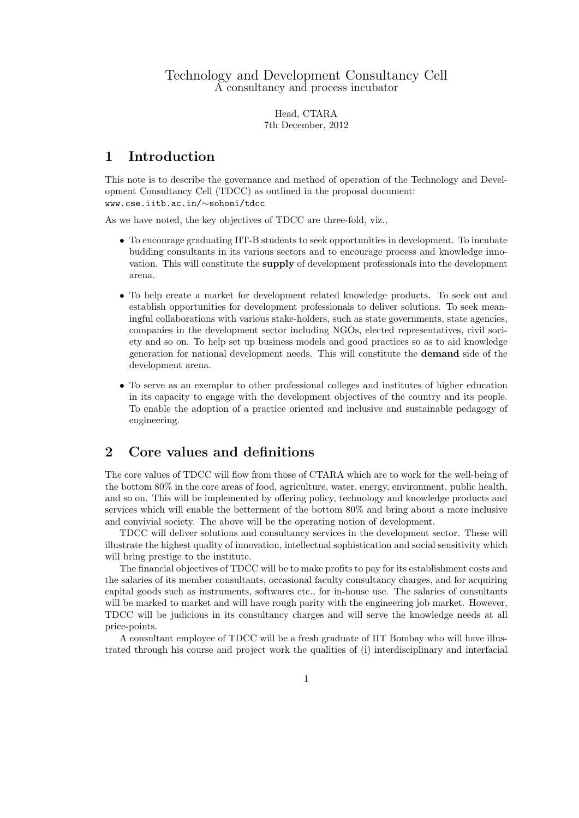Head, CTARA 7th December, 2012

#### 1 Introduction

This note is to describe the governance and method of operation of the Technology and Development Consultancy Cell (TDCC) as outlined in the proposal document: www.cse.iitb.ac.in/∼sohoni/tdcc

As we have noted, the key objectives of TDCC are three-fold, viz.,

- To encourage graduating IIT-B students to seek opportunities in development. To incubate budding consultants in its various sectors and to encourage process and knowledge innovation. This will constitute the supply of development professionals into the development arena.
- To help create a market for development related knowledge products. To seek out and establish opportunities for development professionals to deliver solutions. To seek meaningful collaborations with various stake-holders, such as state governments, state agencies, companies in the development sector including NGOs, elected representatives, civil society and so on. To help set up business models and good practices so as to aid knowledge generation for national development needs. This will constitute the demand side of the development arena.
- To serve as an exemplar to other professional colleges and institutes of higher education in its capacity to engage with the development objectives of the country and its people. To enable the adoption of a practice oriented and inclusive and sustainable pedagogy of engineering.

## 2 Core values and definitions

The core values of TDCC will flow from those of CTARA which are to work for the well-being of the bottom 80% in the core areas of food, agriculture, water, energy, environment, public health, and so on. This will be implemented by offering policy, technology and knowledge products and services which will enable the betterment of the bottom 80% and bring about a more inclusive and convivial society. The above will be the operating notion of development.

TDCC will deliver solutions and consultancy services in the development sector. These will illustrate the highest quality of innovation, intellectual sophistication and social sensitivity which will bring prestige to the institute.

The financial objectives of TDCC will be to make profits to pay for its establishment costs and the salaries of its member consultants, occasional faculty consultancy charges, and for acquiring capital goods such as instruments, softwares etc., for in-house use. The salaries of consultants will be marked to market and will have rough parity with the engineering job market. However, TDCC will be judicious in its consultancy charges and will serve the knowledge needs at all price-points.

A consultant employee of TDCC will be a fresh graduate of IIT Bombay who will have illustrated through his course and project work the qualities of (i) interdisciplinary and interfacial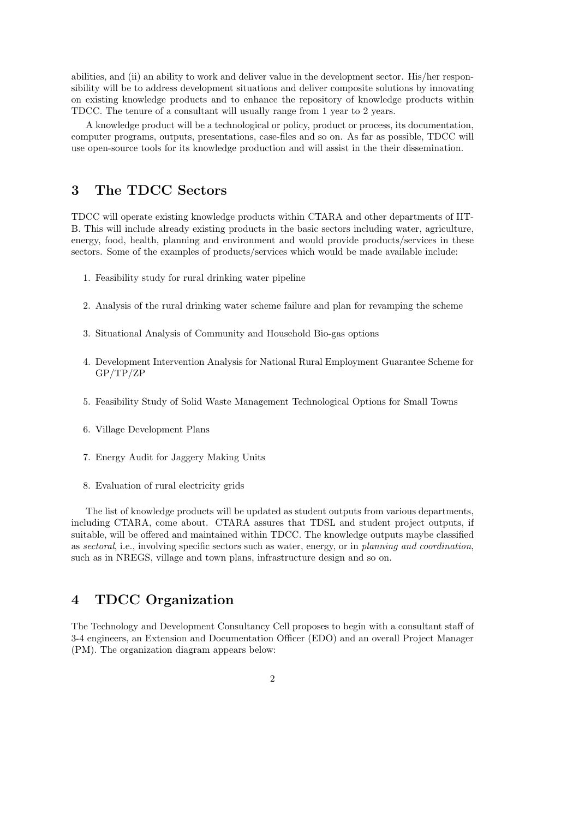abilities, and (ii) an ability to work and deliver value in the development sector. His/her responsibility will be to address development situations and deliver composite solutions by innovating on existing knowledge products and to enhance the repository of knowledge products within TDCC. The tenure of a consultant will usually range from 1 year to 2 years.

A knowledge product will be a technological or policy, product or process, its documentation, computer programs, outputs, presentations, case-files and so on. As far as possible, TDCC will use open-source tools for its knowledge production and will assist in the their dissemination.

# 3 The TDCC Sectors

TDCC will operate existing knowledge products within CTARA and other departments of IIT-B. This will include already existing products in the basic sectors including water, agriculture, energy, food, health, planning and environment and would provide products/services in these sectors. Some of the examples of products/services which would be made available include:

- 1. Feasibility study for rural drinking water pipeline
- 2. Analysis of the rural drinking water scheme failure and plan for revamping the scheme
- 3. Situational Analysis of Community and Household Bio-gas options
- 4. Development Intervention Analysis for National Rural Employment Guarantee Scheme for GP/TP/ZP
- 5. Feasibility Study of Solid Waste Management Technological Options for Small Towns
- 6. Village Development Plans
- 7. Energy Audit for Jaggery Making Units
- 8. Evaluation of rural electricity grids

The list of knowledge products will be updated as student outputs from various departments, including CTARA, come about. CTARA assures that TDSL and student project outputs, if suitable, will be offered and maintained within TDCC. The knowledge outputs maybe classified as sectoral, i.e., involving specific sectors such as water, energy, or in planning and coordination, such as in NREGS, village and town plans, infrastructure design and so on.

### 4 TDCC Organization

The Technology and Development Consultancy Cell proposes to begin with a consultant staff of 3-4 engineers, an Extension and Documentation Officer (EDO) and an overall Project Manager (PM). The organization diagram appears below: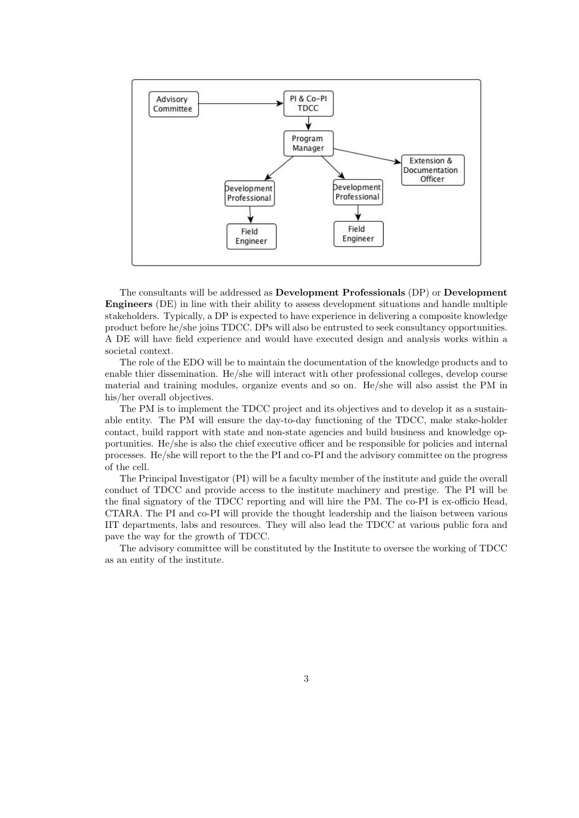

The consultants will be addressed as Development Professionals (DP) or Development Engineers (DE) in line with their ability to assess development situations and handle multiple stakeholders. Typically, a DP is expected to have experience in delivering a composite knowledge product before he/she joins TDCC. DPs will also be entrusted to seek consultancy opportunities. A DE will have field experience and would have executed design and analysis works within a societal context.

The role of the EDO will be to maintain the documentation of the knowledge products and to enable thier dissemination. He/she will interact with other professional colleges, develop course material and training modules, organize events and so on. He/she will also assist the PM in his/her overall objectives.

The PM is to implement the TDCC project and its objectives and to develop it as a sustainable entity. The PM will ensure the day-to-day functioning of the TDCC, make stake-holder contact, build rapport with state and non-state agencies and build business and knowledge opportunities. He/she is also the chief executive officer and be responsible for policies and internal processes. He/she will report to the the PI and co-PI and the advisory committee on the progress of the cell.

The Principal Investigator (PI) will be a faculty member of the institute and guide the overall conduct of TDCC and provide access to the institute machinery and prestige. The PI will be the final signatory of the TDCC reporting and will hire the PM. The co-PI is ex-officio Head, CTARA. The PI and co-PI will provide the thought leadership and the liaison between various IIT departments, labs and resources. They will also lead the TDCC at various public fora and pave the way for the growth of TDCC.

The advisory committee will be constituted by the Institute to oversee the working of TDCC as an entity of the institute.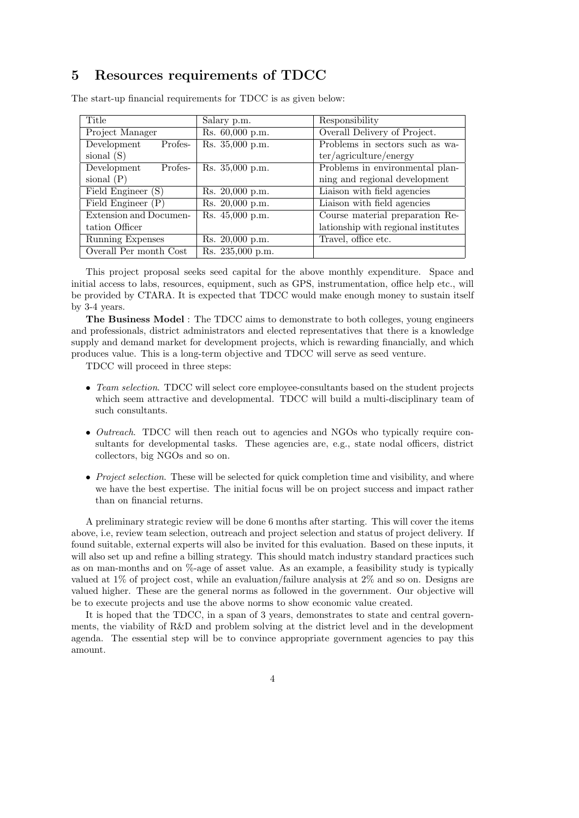# 5 Resources requirements of TDCC

| Title                  | Salary p.m.      | Responsibility                      |  |
|------------------------|------------------|-------------------------------------|--|
| Project Manager        | Rs. 60,000 p.m.  | Overall Delivery of Project.        |  |
| Profes-<br>Development | Rs. 35,000 p.m.  | Problems in sectors such as wa-     |  |
| sional $(S)$           |                  | ter/agriculture/energy              |  |
| Profes-<br>Development | Rs. 35,000 p.m.  | Problems in environmental plan-     |  |
| sional $(P)$           |                  | ning and regional development       |  |
| Field Engineer (S)     | Rs. 20,000 p.m.  | Liaison with field agencies         |  |
| Field Engineer $(P)$   | Rs. 20,000 p.m.  | Liaison with field agencies         |  |
| Extension and Documen- | Rs. 45,000 p.m.  | Course material preparation Re-     |  |
| tation Officer         |                  | lationship with regional institutes |  |
| Running Expenses       | Rs. 20,000 p.m.  | Travel, office etc.                 |  |
| Overall Per month Cost | Rs. 235,000 p.m. |                                     |  |

The start-up financial requirements for TDCC is as given below:

This project proposal seeks seed capital for the above monthly expenditure. Space and initial access to labs, resources, equipment, such as GPS, instrumentation, office help etc., will be provided by CTARA. It is expected that TDCC would make enough money to sustain itself by 3-4 years.

The Business Model : The TDCC aims to demonstrate to both colleges, young engineers and professionals, district administrators and elected representatives that there is a knowledge supply and demand market for development projects, which is rewarding financially, and which produces value. This is a long-term objective and TDCC will serve as seed venture.

TDCC will proceed in three steps:

- Team selection. TDCC will select core employee-consultants based on the student projects which seem attractive and developmental. TDCC will build a multi-disciplinary team of such consultants.
- Outreach. TDCC will then reach out to agencies and NGOs who typically require consultants for developmental tasks. These agencies are, e.g., state nodal officers, district collectors, big NGOs and so on.
- *Project selection*. These will be selected for quick completion time and visibility, and where we have the best expertise. The initial focus will be on project success and impact rather than on financial returns.

A preliminary strategic review will be done 6 months after starting. This will cover the items above, i.e, review team selection, outreach and project selection and status of project delivery. If found suitable, external experts will also be invited for this evaluation. Based on these inputs, it will also set up and refine a billing strategy. This should match industry standard practices such as on man-months and on %-age of asset value. As an example, a feasibility study is typically valued at 1% of project cost, while an evaluation/failure analysis at 2% and so on. Designs are valued higher. These are the general norms as followed in the government. Our objective will be to execute projects and use the above norms to show economic value created.

It is hoped that the TDCC, in a span of 3 years, demonstrates to state and central governments, the viability of R&D and problem solving at the district level and in the development agenda. The essential step will be to convince appropriate government agencies to pay this amount.